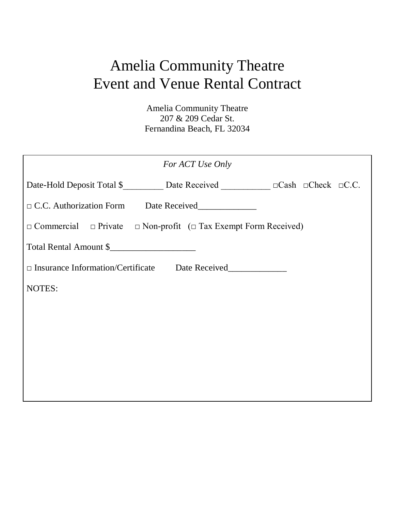# Amelia Community Theatre Event and Venue Rental Contract

Amelia Community Theatre 207 & 209 Cedar St. Fernandina Beach, FL 32034

| For ACT Use Only                                                                       |
|----------------------------------------------------------------------------------------|
| Date-Hold Deposit Total \$____________ Date Received ______________ □Cash □Check □C.C. |
| □ C.C. Authorization Form Date Received_____________                                   |
| $\Box$ Commercial $\Box$ Private $\Box$ Non-profit ( $\Box$ Tax Exempt Form Received)  |
| Total Rental Amount \$                                                                 |
| □ Insurance Information/Certificate Date Received                                      |
| NOTES:                                                                                 |
|                                                                                        |
|                                                                                        |
|                                                                                        |
|                                                                                        |
|                                                                                        |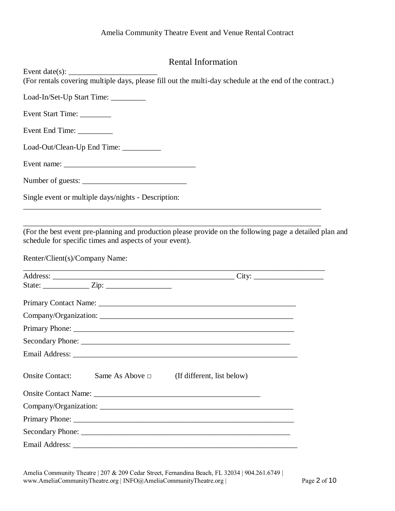# Rental Information

| Event date(s): $\_\_\_\_\_\_\_\_\_\_\_\_\_\_\_\_\_\_\_$<br>(For rentals covering multiple days, please fill out the multi-day schedule at the end of the contract.)                                   |  |
|-------------------------------------------------------------------------------------------------------------------------------------------------------------------------------------------------------|--|
| Load-In/Set-Up Start Time: __________                                                                                                                                                                 |  |
| Event Start Time:                                                                                                                                                                                     |  |
| Event End Time:                                                                                                                                                                                       |  |
| Load-Out/Clean-Up End Time: __________                                                                                                                                                                |  |
|                                                                                                                                                                                                       |  |
|                                                                                                                                                                                                       |  |
| Single event or multiple days/nights - Description:                                                                                                                                                   |  |
| (For the best event pre-planning and production please provide on the following page a detailed plan and<br>schedule for specific times and aspects of your event).<br>Renter/Client(s)/Company Name: |  |
|                                                                                                                                                                                                       |  |
|                                                                                                                                                                                                       |  |
|                                                                                                                                                                                                       |  |
| Company/Organization:                                                                                                                                                                                 |  |
|                                                                                                                                                                                                       |  |
|                                                                                                                                                                                                       |  |
| Email Address:<br><u> 2000 - 2000 - 2000 - 2000 - 2000 - 2000 - 2000 - 2000 - 2000 - 2000 - 2000 - 2000 - 2000 - 2000 - 2000 - 200</u>                                                                |  |
| <b>Onsite Contact:</b><br>Same As Above $\Box$<br>(If different, list below)                                                                                                                          |  |
|                                                                                                                                                                                                       |  |
|                                                                                                                                                                                                       |  |
|                                                                                                                                                                                                       |  |
|                                                                                                                                                                                                       |  |
| Email Address:                                                                                                                                                                                        |  |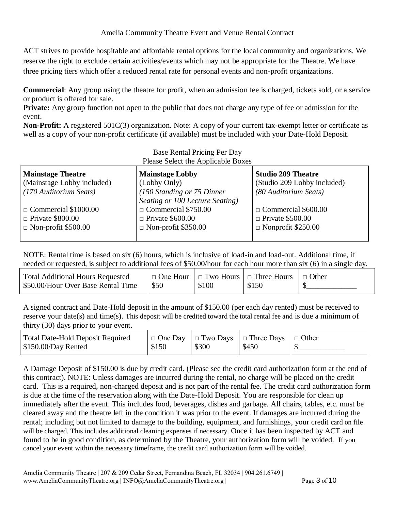ACT strives to provide hospitable and affordable rental options for the local community and organizations. We reserve the right to exclude certain activities/events which may not be appropriate for the Theatre. We have three pricing tiers which offer a reduced rental rate for personal events and non-profit organizations.

**Commercial**: Any group using the theatre for profit, when an admission fee is charged, tickets sold, or a service or product is offered for sale.

**Private:** Any group function not open to the public that does not charge any type of fee or admission for the event.

**Non-Profit:** A registered 501C(3) organization. Note: A copy of your current tax-exempt letter or certificate as well as a copy of your non-profit certificate (if available) must be included with your Date-Hold Deposit.

| <b>Mainstage Theatre</b>    | <b>Mainstage Lobby</b>          | <b>Studio 209 Theatre</b>   |
|-----------------------------|---------------------------------|-----------------------------|
| (Mainstage Lobby included)  | (Lobby Only)                    | (Studio 209 Lobby included) |
| (170 Auditorium Seats)      | (150 Standing or 75 Dinner      | (80 Auditorium Seats)       |
|                             | Seating or 100 Lecture Seating) |                             |
| $\Box$ Commercial \$1000.00 | $\Box$ Commercial \$750.00      | $\Box$ Commercial \$600.00  |
| $\Box$ Private \$800.00     | $\Box$ Private \$600.00         | $\Box$ Private \$500.00     |
| $\Box$ Non-profit \$500.00  | $\Box$ Non-profit \$350.00      | $\Box$ Nonprofit \$250.00   |
|                             |                                 |                             |

NOTE: Rental time is based on six (6) hours, which is inclusive of load-in and load-out. Additional time, if needed or requested, is subject to additional fees of \$50.00/hour for each hour more than six (6) in a single day.

| $\Box$ One Hour $\Box$ Two Hours $\Box$ Three Hours<br>\$50.00/Hour Over Base Rental Time<br>\$50<br>\$100<br>\$150 | <b>Total Additional Hours Requested</b> |  |  |  | $\Box$ Other |
|---------------------------------------------------------------------------------------------------------------------|-----------------------------------------|--|--|--|--------------|
|---------------------------------------------------------------------------------------------------------------------|-----------------------------------------|--|--|--|--------------|

A signed contract and Date-Hold deposit in the amount of \$150.00 (per each day rented) must be received to reserve your date(s) and time(s). This deposit will be credited toward the total rental fee and is due a minimum of thirty (30) days prior to your event.

| <b>Total Date-Hold Deposit Required</b> |       |       | $\Box$ One Day $\Box$ Two Days $\Box$ Three Days $\Box$ Other |  |
|-----------------------------------------|-------|-------|---------------------------------------------------------------|--|
| \$150.00/Day Rented                     | \$150 | \$300 | \$450                                                         |  |

A Damage Deposit of \$150.00 is due by credit card. (Please see the credit card authorization form at the end of this contract). NOTE: Unless damages are incurred during the rental, no charge will be placed on the credit card. This is a required, non-charged deposit and is not part of the rental fee. The credit card authorization form is due at the time of the reservation along with the Date-Hold Deposit. You are responsible for clean up immediately after the event. This includes food, beverages, dishes and garbage. All chairs, tables, etc. must be cleared away and the theatre left in the condition it was prior to the event. If damages are incurred during the rental; including but not limited to damage to the building, equipment, and furnishings, your credit card on file will be charged. This includes additional cleaning expenses if necessary. Once it has been inspected by ACT and found to be in good condition, as determined by the Theatre, your authorization form will be voided. If you cancel your event within the necessary timeframe, the credit card authorization form will be voided.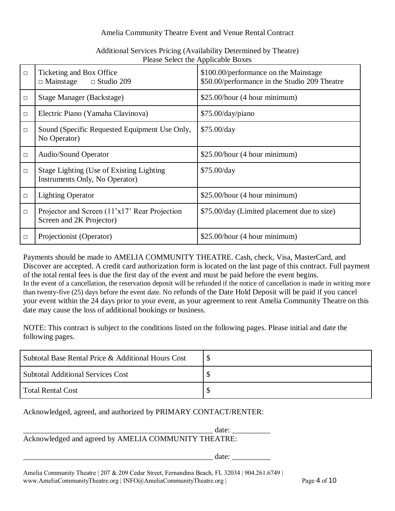#### Amelia Community Theatre Event and Venue Rental Contract

|        | I icase Scient the Applicable DOACS                                         |                                                                                        |
|--------|-----------------------------------------------------------------------------|----------------------------------------------------------------------------------------|
| $\Box$ | Ticketing and Box Office<br>$\Box$ Mainstage<br>$\Box$ Studio 209           | \$100.00/performance on the Mainstage<br>\$50.00/performance in the Studio 209 Theatre |
| $\Box$ | <b>Stage Manager (Backstage)</b>                                            | \$25.00/hour (4 hour minimum)                                                          |
| $\Box$ | Electric Piano (Yamaha Clavinova)                                           | \$75.00/day/piano                                                                      |
| П      | Sound (Specific Requested Equipment Use Only,<br>No Operator)               | \$75.00/day                                                                            |
| $\Box$ | Audio/Sound Operator                                                        | \$25.00/hour (4 hour minimum)                                                          |
| $\Box$ | Stage Lighting (Use of Existing Lighting)<br>Instruments Only, No Operator) | \$75.00/day                                                                            |
| $\Box$ | <b>Lighting Operator</b>                                                    | $$25.00/hour$ (4 hour minimum)                                                         |
| $\Box$ | Projector and Screen (11'x17' Rear Projection<br>Screen and 2K Projector)   | \$75.00/day (Limited placement due to size)                                            |
| □      | Projectionist (Operator)                                                    | $$25.00/hour$ (4 hour minimum)                                                         |

# Additional Services Pricing (Availability Determined by Theatre) Please Select the Applicable Boxes

Payments should be made to AMELIA COMMUNITY THEATRE. Cash, check, Visa, MasterCard, and Discover are accepted. A credit card authorization form is located on the last page of this contract. Full payment of the total rental fees is due the first day of the event and must be paid before the event begins. In the event of a cancellation, the reservation deposit will be refunded if the notice of cancellation is made in writing more than twenty-five (25) days before the event date. No refunds of the Date Hold Deposit will be paid if you cancel your event within the 24 days prior to your event, as your agreement to rent Amelia Community Theatre on this date may cause the loss of additional bookings or business.

NOTE: This contract is subject to the conditions listed on the following pages. Please initial and date the following pages.

| Subtotal Base Rental Price & Additional Hours Cost |  |
|----------------------------------------------------|--|
| <b>Subtotal Additional Services Cost</b>           |  |
| Total Rental Cost                                  |  |

Acknowledged, agreed, and authorized by PRIMARY CONTACT/RENTER:

date:  $\frac{1}{\sqrt{1-\frac{1}{2}}}$ Acknowledged and agreed by AMELIA COMMUNITY THEATRE:

 $\text{date:}$ 

Amelia Community Theatre | 207 & 209 Cedar Street, Fernandina Beach, FL 32034 | 904.261.6749 | www.AmeliaCommunityTheatre.org | INFO@AmeliaCommunityTheatre.org | Page 4 of 10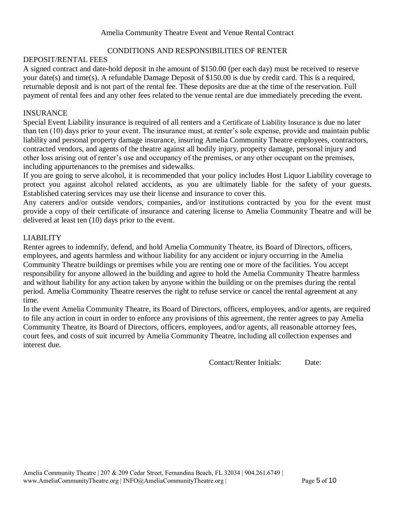# CONDITIONS AND RESPONSIBILITIES OF RENTER

#### DEPOSIT/RENTAL FEES

A signed contract and date-hold deposit in the amount of \$150.00 (per each day) must be received to reserve your date(s) and time(s). A refundable Damage Deposit of \$150.00 is due by credit card. This is a required, returnable deposit and is not part of the rental fee. These deposits are due at the time of the reservation. Full payment of rental fees and any other fees related to the venue rental are due immediately preceding the event.

#### INSURANCE

Special Event Liability insurance is required of all renters and a Certificate of Liability Insurance is due no later than ten (10) days prior to your event. The insurance must, at renter's sole expense, provide and maintain public liability and personal property damage insurance, insuring Amelia Community Theatre employees, contractors, contracted vendors, and agents of the theatre against all bodily injury, property damage, personal injury and other loss arising out of renter's use and occupancy of the premises, or any other occupant on the premises, including appurtenances to the premises and sidewalks.

If you are going to serve alcohol, it is recommended that your policy includes Host Liquor Liability coverage to protect you against alcohol related accidents, as you are ultimately liable for the safety of your guests. Established catering services may use their license and insurance to cover this.

Any caterers and/or outside vendors, companies, and/or institutions contracted by you for the event must provide a copy of their certificate of insurance and catering license to Amelia Community Theatre and will be delivered at least ten (10) days prior to the event.

# LIABILITY

Renter agrees to indemnify, defend, and hold Amelia Community Theatre, its Board of Directors, officers, employees, and agents harmless and without liability for any accident or injury occurring in the Amelia Community Theatre buildings or premises while you are renting one or more of the facilities. You accept responsibility for anyone allowed in the building and agree to hold the Amelia Community Theatre harmless and without liability for any action taken by anyone within the building or on the premises during the rental period. Amelia Community Theatre reserves the right to refuse service or cancel the rental agreement at any time.

In the event Amelia Community Theatre, its Board of Directors, officers, employees, and/or agents, are required to file any action in court in order to enforce any provisions of this agreement, the renter agrees to pay Amelia Community Theatre, its Board of Directors, officers, employees, and/or agents, all reasonable attorney fees, court fees, and costs of suit incurred by Amelia Community Theatre, including all collection expenses and interest due.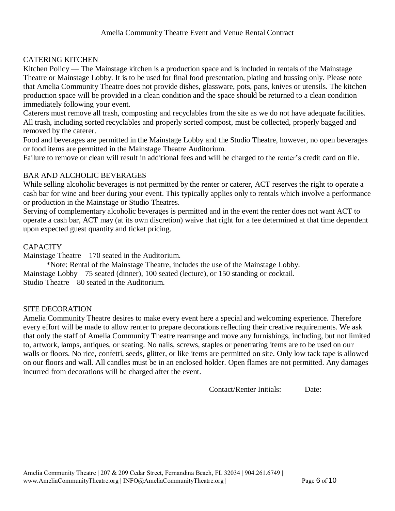# CATERING KITCHEN

Kitchen Policy — The Mainstage kitchen is a production space and is included in rentals of the Mainstage Theatre or Mainstage Lobby. It is to be used for final food presentation, plating and bussing only. Please note that Amelia Community Theatre does not provide dishes, glassware, pots, pans, knives or utensils. The kitchen production space will be provided in a clean condition and the space should be returned to a clean condition immediately following your event.

Caterers must remove all trash, composting and recyclables from the site as we do not have adequate facilities. All trash, including sorted recyclables and properly sorted compost, must be collected, properly bagged and removed by the caterer.

Food and beverages are permitted in the Mainstage Lobby and the Studio Theatre, however, no open beverages or food items are permitted in the Mainstage Theatre Auditorium.

Failure to remove or clean will result in additional fees and will be charged to the renter's credit card on file.

#### BAR AND ALCHOLIC BEVERAGES

While selling alcoholic beverages is not permitted by the renter or caterer, ACT reserves the right to operate a cash bar for wine and beer during your event. This typically applies only to rentals which involve a performance or production in the Mainstage or Studio Theatres.

Serving of complementary alcoholic beverages is permitted and in the event the renter does not want ACT to operate a cash bar, ACT may (at its own discretion) waive that right for a fee determined at that time dependent upon expected guest quantity and ticket pricing.

#### **CAPACITY**

Mainstage Theatre—170 seated in the Auditorium.

\*Note: Rental of the Mainstage Theatre, includes the use of the Mainstage Lobby. Mainstage Lobby—75 seated (dinner), 100 seated (lecture), or 150 standing or cocktail. Studio Theatre—80 seated in the Auditorium.

#### SITE DECORATION

Amelia Community Theatre desires to make every event here a special and welcoming experience. Therefore every effort will be made to allow renter to prepare decorations reflecting their creative requirements. We ask that only the staff of Amelia Community Theatre rearrange and move any furnishings, including, but not limited to, artwork, lamps, antiques, or seating. No nails, screws, staples or penetrating items are to be used on our walls or floors. No rice, confetti, seeds, glitter, or like items are permitted on site. Only low tack tape is allowed on our floors and wall. All candles must be in an enclosed holder. Open flames are not permitted. Any damages incurred from decorations will be charged after the event.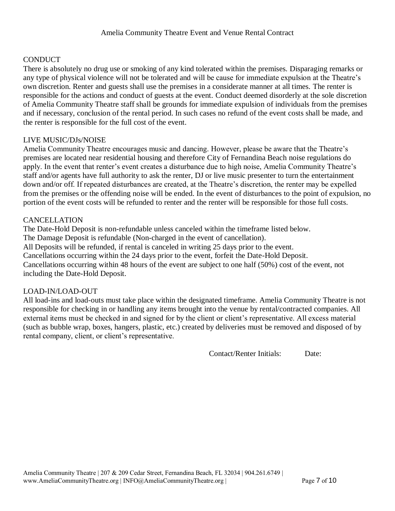#### **CONDUCT**

There is absolutely no drug use or smoking of any kind tolerated within the premises. Disparaging remarks or any type of physical violence will not be tolerated and will be cause for immediate expulsion at the Theatre's own discretion. Renter and guests shall use the premises in a considerate manner at all times. The renter is responsible for the actions and conduct of guests at the event. Conduct deemed disorderly at the sole discretion of Amelia Community Theatre staff shall be grounds for immediate expulsion of individuals from the premises and if necessary, conclusion of the rental period. In such cases no refund of the event costs shall be made, and the renter is responsible for the full cost of the event.

#### LIVE MUSIC/DJs/NOISE

Amelia Community Theatre encourages music and dancing. However, please be aware that the Theatre's premises are located near residential housing and therefore City of Fernandina Beach noise regulations do apply. In the event that renter's event creates a disturbance due to high noise, Amelia Community Theatre's staff and/or agents have full authority to ask the renter, DJ or live music presenter to turn the entertainment down and/or off. If repeated disturbances are created, at the Theatre's discretion, the renter may be expelled from the premises or the offending noise will be ended. In the event of disturbances to the point of expulsion, no portion of the event costs will be refunded to renter and the renter will be responsible for those full costs.

#### CANCELLATION

The Date-Hold Deposit is non-refundable unless canceled within the timeframe listed below. The Damage Deposit is refundable (Non-charged in the event of cancellation). All Deposits will be refunded, if rental is canceled in writing 25 days prior to the event. Cancellations occurring within the 24 days prior to the event, forfeit the Date-Hold Deposit. Cancellations occurring within 48 hours of the event are subject to one half (50%) cost of the event, not including the Date-Hold Deposit.

#### LOAD-IN/LOAD-OUT

All load-ins and load-outs must take place within the designated timeframe. Amelia Community Theatre is not responsible for checking in or handling any items brought into the venue by rental/contracted companies. All external items must be checked in and signed for by the client or client's representative. All excess material (such as bubble wrap, boxes, hangers, plastic, etc.) created by deliveries must be removed and disposed of by rental company, client, or client's representative.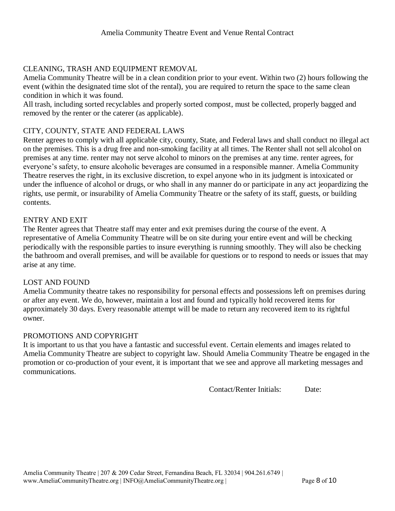# CLEANING, TRASH AND EQUIPMENT REMOVAL

Amelia Community Theatre will be in a clean condition prior to your event. Within two (2) hours following the event (within the designated time slot of the rental), you are required to return the space to the same clean condition in which it was found.

All trash, including sorted recyclables and properly sorted compost, must be collected, properly bagged and removed by the renter or the caterer (as applicable).

#### CITY, COUNTY, STATE AND FEDERAL LAWS

Renter agrees to comply with all applicable city, county, State, and Federal laws and shall conduct no illegal act on the premises. This is a drug free and non-smoking facility at all times. The Renter shall not sell alcohol on premises at any time. renter may not serve alcohol to minors on the premises at any time. renter agrees, for everyone's safety, to ensure alcoholic beverages are consumed in a responsible manner. Amelia Community Theatre reserves the right, in its exclusive discretion, to expel anyone who in its judgment is intoxicated or under the influence of alcohol or drugs, or who shall in any manner do or participate in any act jeopardizing the rights, use permit, or insurability of Amelia Community Theatre or the safety of its staff, guests, or building contents.

#### ENTRY AND EXIT

The Renter agrees that Theatre staff may enter and exit premises during the course of the event. A representative of Amelia Community Theatre will be on site during your entire event and will be checking periodically with the responsible parties to insure everything is running smoothly. They will also be checking the bathroom and overall premises, and will be available for questions or to respond to needs or issues that may arise at any time.

#### LOST AND FOUND

Amelia Community theatre takes no responsibility for personal effects and possessions left on premises during or after any event. We do, however, maintain a lost and found and typically hold recovered items for approximately 30 days. Every reasonable attempt will be made to return any recovered item to its rightful owner.

# PROMOTIONS AND COPYRIGHT

It is important to us that you have a fantastic and successful event. Certain elements and images related to Amelia Community Theatre are subject to copyright law. Should Amelia Community Theatre be engaged in the promotion or co-production of your event, it is important that we see and approve all marketing messages and communications.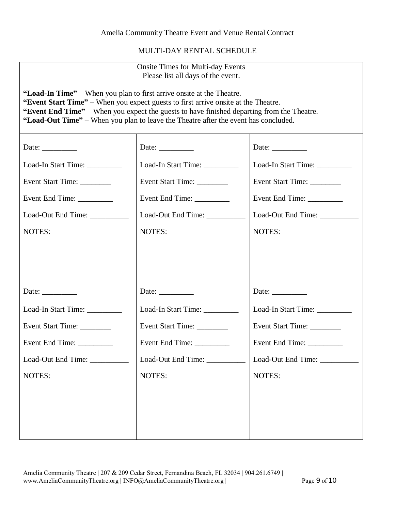MULTI-DAY RENTAL SCHEDULE

| <b>Onsite Times for Multi-day Events</b><br>Please list all days of the event.                                                                                                                                                                                                                                                                   |                                |                               |  |
|--------------------------------------------------------------------------------------------------------------------------------------------------------------------------------------------------------------------------------------------------------------------------------------------------------------------------------------------------|--------------------------------|-------------------------------|--|
| "Load-In Time" – When you plan to first arrive onsite at the Theatre.<br>"Event Start Time" – When you expect guests to first arrive onsite at the Theatre.<br>"Event End Time" – When you expect the guests to have finished departing from the Theatre.<br>"Load-Out Time" – When you plan to leave the Theatre after the event has concluded. |                                |                               |  |
| Date: $\frac{\phantom{1}}{\phantom{1}}$                                                                                                                                                                                                                                                                                                          | Date: $\_\_$                   | Date: $\_\_$                  |  |
| Load-In Start Time: __________                                                                                                                                                                                                                                                                                                                   | Load-In Start Time: _________  | Load-In Start Time: _________ |  |
| Event Start Time:                                                                                                                                                                                                                                                                                                                                | Event Start Time: _________    | Event Start Time:             |  |
| Event End Time:                                                                                                                                                                                                                                                                                                                                  |                                |                               |  |
| Load-Out End Time: __________                                                                                                                                                                                                                                                                                                                    | Load-Out End Time: ___________ | Load-Out End Time: __________ |  |
| NOTES:                                                                                                                                                                                                                                                                                                                                           | NOTES:                         | NOTES:                        |  |
|                                                                                                                                                                                                                                                                                                                                                  |                                |                               |  |
| Date: $\_\_$                                                                                                                                                                                                                                                                                                                                     | Date: $\_\_$                   | Date: $\_\_$                  |  |
| Load-In Start Time:                                                                                                                                                                                                                                                                                                                              | Load-In Start Time:            | Load-In Start Time: _________ |  |
| Event Start Time:                                                                                                                                                                                                                                                                                                                                | Event Start Time:              | Event Start Time: ________    |  |
|                                                                                                                                                                                                                                                                                                                                                  | Event End Time:                |                               |  |
| Load-Out End Time:                                                                                                                                                                                                                                                                                                                               | Load-Out End Time: __________  | Load-Out End Time:            |  |
| NOTES:                                                                                                                                                                                                                                                                                                                                           | NOTES:                         | NOTES:                        |  |
|                                                                                                                                                                                                                                                                                                                                                  |                                |                               |  |
|                                                                                                                                                                                                                                                                                                                                                  |                                |                               |  |
|                                                                                                                                                                                                                                                                                                                                                  |                                |                               |  |